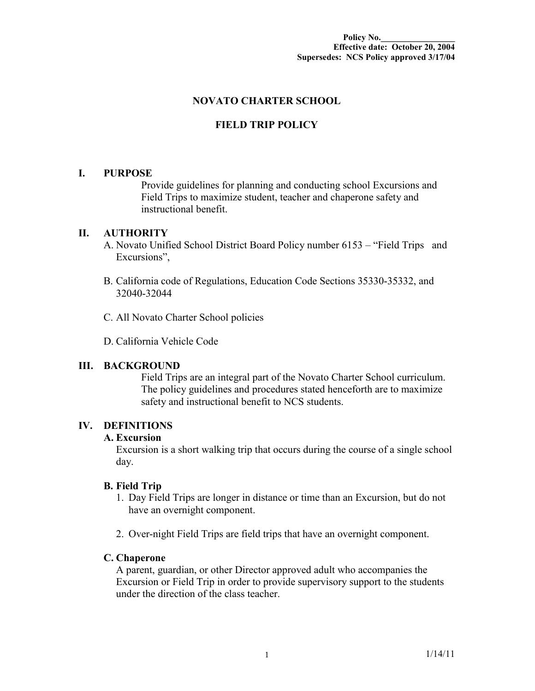## **NOVATO CHARTER SCHOOL**

# **FIELD TRIP POLICY**

### **I. PURPOSE**

Provide guidelines for planning and conducting school Excursions and Field Trips to maximize student, teacher and chaperone safety and instructional benefit.

### **II. AUTHORITY**

- A. Novato Unified School District Board Policy number 6153 "Field Trips and Excursions",
- B. California code of Regulations, Education Code Sections 35330-35332, and 32040-32044
- C. All Novato Charter School policies

D. California Vehicle Code

### **III. BACKGROUND**

Field Trips are an integral part of the Novato Charter School curriculum. The policy guidelines and procedures stated henceforth are to maximize safety and instructional benefit to NCS students.

### **IV. DEFINITIONS**

### **A. Excursion**

Excursion is a short walking trip that occurs during the course of a single school day.

### **B. Field Trip**

- 1. Day Field Trips are longer in distance or time than an Excursion, but do not have an overnight component.
- 2. Over-night Field Trips are field trips that have an overnight component.

### **C. Chaperone**

A parent, guardian, or other Director approved adult who accompanies the Excursion or Field Trip in order to provide supervisory support to the students under the direction of the class teacher.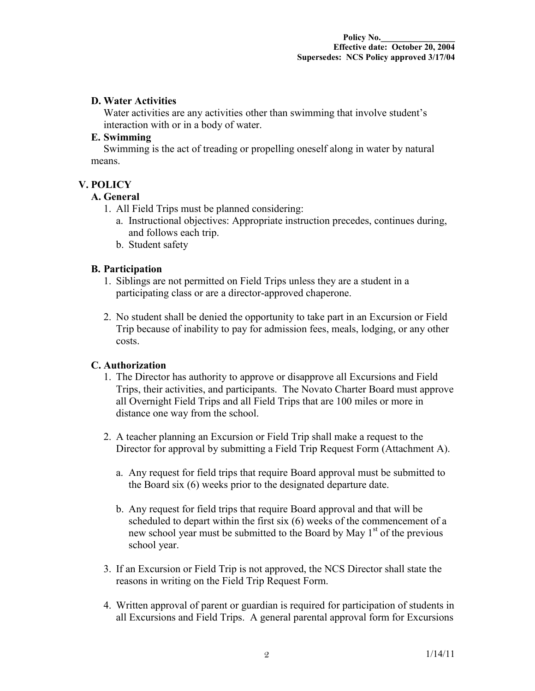#### **D. Water Activities**

Water activities are any activities other than swimming that involve student's interaction with or in a body of water.

#### **E. Swimming**

Swimming is the act of treading or propelling oneself along in water by natural means.

# **V. POLICY**

### **A. General**

- 1. All Field Trips must be planned considering:
	- a. Instructional objectives: Appropriate instruction precedes, continues during, and follows each trip.
	- b. Student safety

### **B. Participation**

- 1. Siblings are not permitted on Field Trips unless they are a student in a participating class or are a director-approved chaperone.
- 2. No student shall be denied the opportunity to take part in an Excursion or Field Trip because of inability to pay for admission fees, meals, lodging, or any other costs.

### **C. Authorization**

- 1. The Director has authority to approve or disapprove all Excursions and Field Trips, their activities, and participants. The Novato Charter Board must approve all Overnight Field Trips and all Field Trips that are 100 miles or more in distance one way from the school.
- 2. A teacher planning an Excursion or Field Trip shall make a request to the Director for approval by submitting a Field Trip Request Form (Attachment A).
	- a. Any request for field trips that require Board approval must be submitted to the Board six (6) weeks prior to the designated departure date.
	- b. Any request for field trips that require Board approval and that will be scheduled to depart within the first six (6) weeks of the commencement of a new school year must be submitted to the Board by May  $1<sup>st</sup>$  of the previous school year.
- 3. If an Excursion or Field Trip is not approved, the NCS Director shall state the reasons in writing on the Field Trip Request Form.
- 4. Written approval of parent or guardian is required for participation of students in all Excursions and Field Trips. A general parental approval form for Excursions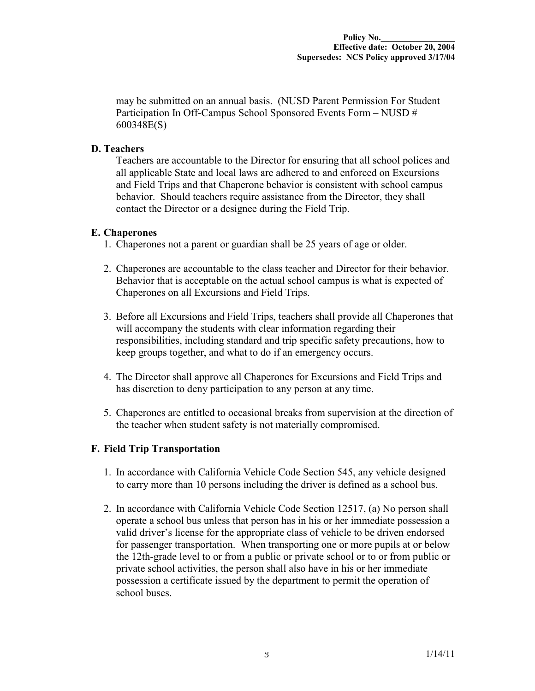may be submitted on an annual basis. (NUSD Parent Permission For Student Participation In Off-Campus School Sponsored Events Form – NUSD # 600348E(S)

### **D. Teachers**

Teachers are accountable to the Director for ensuring that all school polices and all applicable State and local laws are adhered to and enforced on Excursions and Field Trips and that Chaperone behavior is consistent with school campus behavior. Should teachers require assistance from the Director, they shall contact the Director or a designee during the Field Trip.

### **E. Chaperones**

- 1. Chaperones not a parent or guardian shall be 25 years of age or older.
- 2. Chaperones are accountable to the class teacher and Director for their behavior. Behavior that is acceptable on the actual school campus is what is expected of Chaperones on all Excursions and Field Trips.
- 3. Before all Excursions and Field Trips, teachers shall provide all Chaperones that will accompany the students with clear information regarding their responsibilities, including standard and trip specific safety precautions, how to keep groups together, and what to do if an emergency occurs.
- 4. The Director shall approve all Chaperones for Excursions and Field Trips and has discretion to deny participation to any person at any time.
- 5. Chaperones are entitled to occasional breaks from supervision at the direction of the teacher when student safety is not materially compromised.

### **F. Field Trip Transportation**

- 1. In accordance with California Vehicle Code Section 545, any vehicle designed to carry more than 10 persons including the driver is defined as a school bus.
- 2. In accordance with California Vehicle Code Section 12517, (a) No person shall operate a school bus unless that person has in his or her immediate possession a valid driver's license for the appropriate class of vehicle to be driven endorsed for passenger transportation. When transporting one or more pupils at or below the 12th-grade level to or from a public or private school or to or from public or private school activities, the person shall also have in his or her immediate possession a certificate issued by the department to permit the operation of school buses.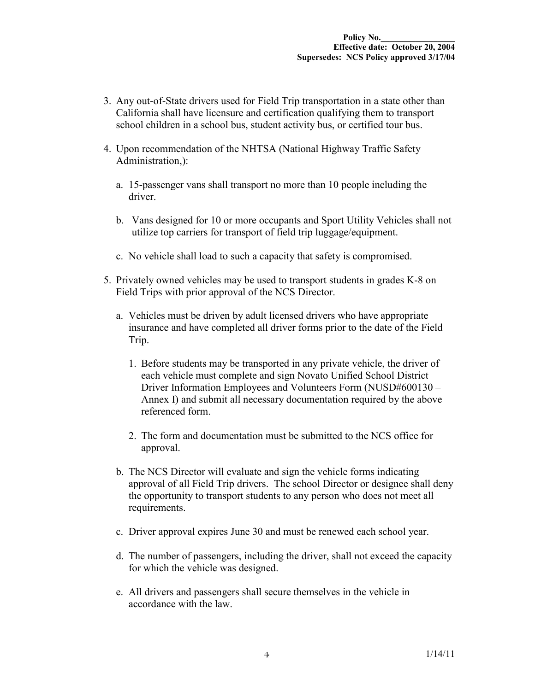- 3. Any out-of-State drivers used for Field Trip transportation in a state other than California shall have licensure and certification qualifying them to transport school children in a school bus, student activity bus, or certified tour bus.
- 4. Upon recommendation of the NHTSA (National Highway Traffic Safety Administration.):
	- a. 15-passenger vans shall transport no more than 10 people including the driver.
	- b. Vans designed for 10 or more occupants and Sport Utility Vehicles shall not utilize top carriers for transport of field trip luggage/equipment.
	- c. No vehicle shall load to such a capacity that safety is compromised.
- 5. Privately owned vehicles may be used to transport students in grades K-8 on Field Trips with prior approval of the NCS Director.
	- a. Vehicles must be driven by adult licensed drivers who have appropriate insurance and have completed all driver forms prior to the date of the Field Trip.
		- 1. Before students may be transported in any private vehicle, the driver of each vehicle must complete and sign Novato Unified School District Driver Information Employees and Volunteers Form (NUSD#600130 – Annex I) and submit all necessary documentation required by the above referenced form.
		- 2. The form and documentation must be submitted to the NCS office for approval.
	- b. The NCS Director will evaluate and sign the vehicle forms indicating approval of all Field Trip drivers. The school Director or designee shall deny the opportunity to transport students to any person who does not meet all requirements.
	- c. Driver approval expires June 30 and must be renewed each school year.
	- d. The number of passengers, including the driver, shall not exceed the capacity for which the vehicle was designed.
	- e. All drivers and passengers shall secure themselves in the vehicle in accordance with the law.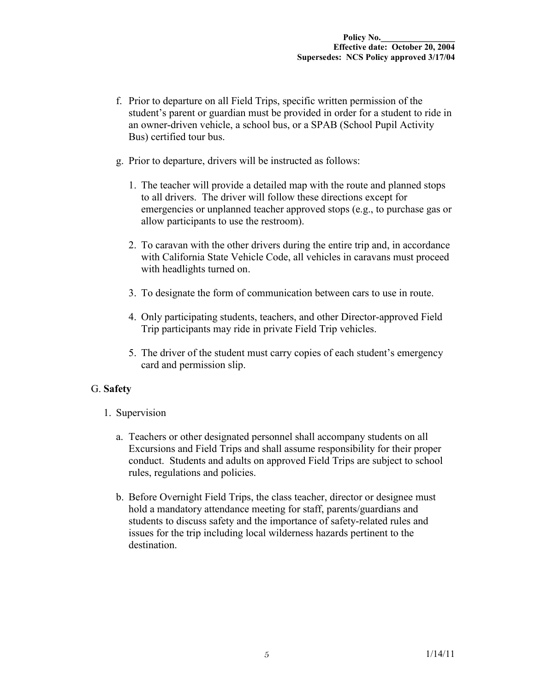- f. Prior to departure on all Field Trips, specific written permission of the student's parent or guardian must be provided in order for a student to ride in an owner-driven vehicle, a school bus, or a SPAB (School Pupil Activity Bus) certified tour bus.
- g. Prior to departure, drivers will be instructed as follows:
	- 1. The teacher will provide a detailed map with the route and planned stops to all drivers. The driver will follow these directions except for emergencies or unplanned teacher approved stops (e.g., to purchase gas or allow participants to use the restroom).
	- 2. To caravan with the other drivers during the entire trip and, in accordance with California State Vehicle Code, all vehicles in caravans must proceed with headlights turned on.
	- 3. To designate the form of communication between cars to use in route.
	- 4. Only participating students, teachers, and other Director-approved Field Trip participants may ride in private Field Trip vehicles.
	- 5. The driver of the student must carry copies of each student's emergency card and permission slip.

### G. **Safety**

- 1. Supervision
	- a. Teachers or other designated personnel shall accompany students on all Excursions and Field Trips and shall assume responsibility for their proper conduct. Students and adults on approved Field Trips are subject to school rules, regulations and policies.
	- b. Before Overnight Field Trips, the class teacher, director or designee must hold a mandatory attendance meeting for staff, parents/guardians and students to discuss safety and the importance of safety-related rules and issues for the trip including local wilderness hazards pertinent to the destination.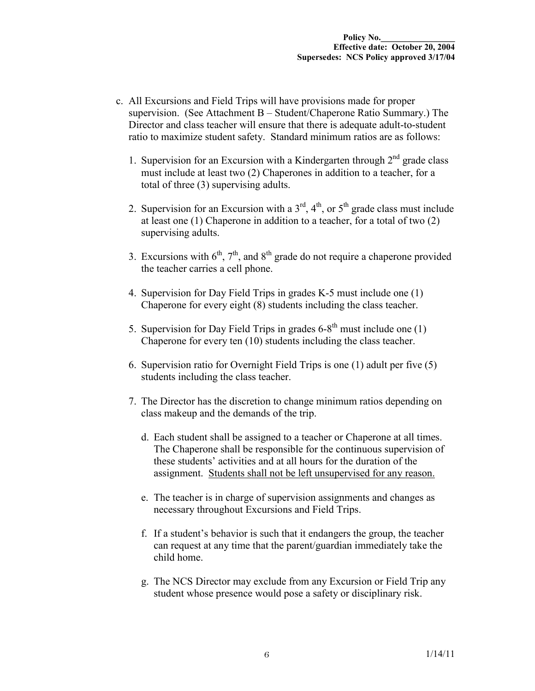- c. All Excursions and Field Trips will have provisions made for proper supervision. (See Attachment B – Student/Chaperone Ratio Summary.) The Director and class teacher will ensure that there is adequate adult-to-student ratio to maximize student safety. Standard minimum ratios are as follows:
	- 1. Supervision for an Excursion with a Kindergarten through  $2<sup>nd</sup>$  grade class must include at least two (2) Chaperones in addition to a teacher, for a total of three (3) supervising adults.
	- 2. Supervision for an Excursion with a  $3<sup>rd</sup>$ ,  $4<sup>th</sup>$ , or  $5<sup>th</sup>$  grade class must include at least one (1) Chaperone in addition to a teacher, for a total of two (2) supervising adults.
	- 3. Excursions with  $6<sup>th</sup>$ ,  $7<sup>th</sup>$ , and  $8<sup>th</sup>$  grade do not require a chaperone provided the teacher carries a cell phone.
	- 4. Supervision for Day Field Trips in grades K-5 must include one (1) Chaperone for every eight (8) students including the class teacher.
	- 5. Supervision for Day Field Trips in grades  $6-8^{th}$  must include one (1) Chaperone for every ten (10) students including the class teacher.
	- 6. Supervision ratio for Overnight Field Trips is one (1) adult per five (5) students including the class teacher.
	- 7. The Director has the discretion to change minimum ratios depending on class makeup and the demands of the trip.
		- d. Each student shall be assigned to a teacher or Chaperone at all times. The Chaperone shall be responsible for the continuous supervision of these students' activities and at all hours for the duration of the assignment. Students shall not be left unsupervised for any reason.
		- e. The teacher is in charge of supervision assignments and changes as necessary throughout Excursions and Field Trips.
		- f. If a student's behavior is such that it endangers the group, the teacher can request at any time that the parent/guardian immediately take the child home.
		- g. The NCS Director may exclude from any Excursion or Field Trip any student whose presence would pose a safety or disciplinary risk.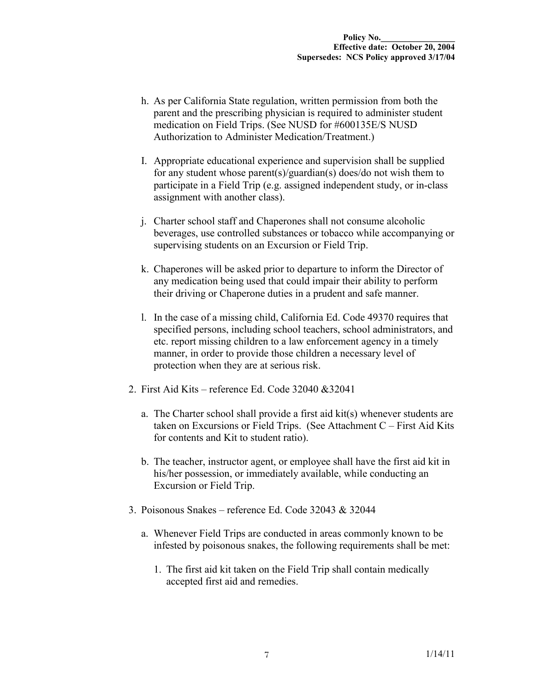- h. As per California State regulation, written permission from both the parent and the prescribing physician is required to administer student medication on Field Trips. (See NUSD for #600135E/S NUSD Authorization to Administer Medication/Treatment.)
- I. Appropriate educational experience and supervision shall be supplied for any student whose parent(s)/guardian(s) does/do not wish them to participate in a Field Trip (e.g. assigned independent study, or in-class assignment with another class).
- j. Charter school staff and Chaperones shall not consume alcoholic beverages, use controlled substances or tobacco while accompanying or supervising students on an Excursion or Field Trip.
- k. Chaperones will be asked prior to departure to inform the Director of any medication being used that could impair their ability to perform their driving or Chaperone duties in a prudent and safe manner.
- l. In the case of a missing child, California Ed. Code 49370 requires that specified persons, including school teachers, school administrators, and etc. report missing children to a law enforcement agency in a timely manner, in order to provide those children a necessary level of protection when they are at serious risk.
- 2. First Aid Kits reference Ed. Code 32040 &32041
	- a. The Charter school shall provide a first aid kit(s) whenever students are taken on Excursions or Field Trips. (See Attachment C – First Aid Kits for contents and Kit to student ratio).
	- b. The teacher, instructor agent, or employee shall have the first aid kit in his/her possession, or immediately available, while conducting an Excursion or Field Trip.
- 3. Poisonous Snakes reference Ed. Code 32043 & 32044
	- a. Whenever Field Trips are conducted in areas commonly known to be infested by poisonous snakes, the following requirements shall be met:
		- 1. The first aid kit taken on the Field Trip shall contain medically accepted first aid and remedies.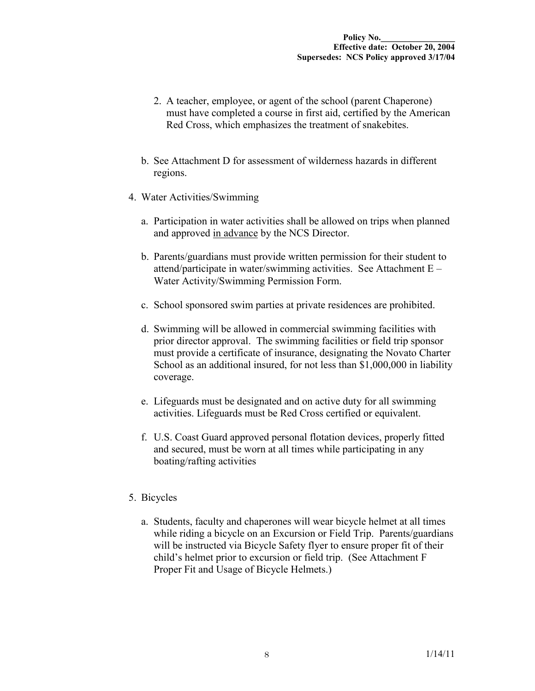- 2. A teacher, employee, or agent of the school (parent Chaperone) must have completed a course in first aid, certified by the American Red Cross, which emphasizes the treatment of snakebites.
- b. See Attachment D for assessment of wilderness hazards in different regions.
- 4. Water Activities/Swimming
	- a. Participation in water activities shall be allowed on trips when planned and approved in advance by the NCS Director.
	- b. Parents/guardians must provide written permission for their student to attend/participate in water/swimming activities. See Attachment E – Water Activity/Swimming Permission Form.
	- c. School sponsored swim parties at private residences are prohibited.
	- d. Swimming will be allowed in commercial swimming facilities with prior director approval. The swimming facilities or field trip sponsor must provide a certificate of insurance, designating the Novato Charter School as an additional insured, for not less than \$1,000,000 in liability coverage.
	- e. Lifeguards must be designated and on active duty for all swimming activities. Lifeguards must be Red Cross certified or equivalent.
	- f. U.S. Coast Guard approved personal flotation devices, properly fitted and secured, must be worn at all times while participating in any boating/rafting activities

### 5. Bicycles

a. Students, faculty and chaperones will wear bicycle helmet at all times while riding a bicycle on an Excursion or Field Trip. Parents/guardians will be instructed via Bicycle Safety flyer to ensure proper fit of their child's helmet prior to excursion or field trip. (See Attachment F Proper Fit and Usage of Bicycle Helmets.)